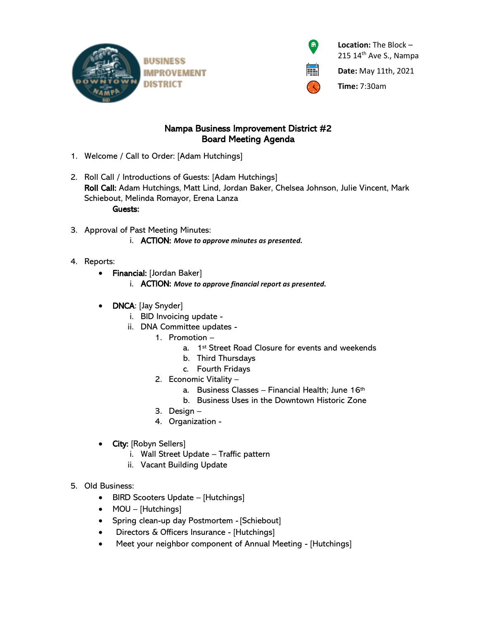



 **Location:** The Block – 215 14<sup>th</sup> Ave S., Nampa

**Date:** May 11th, 2021

**Time:** 7:30am

## Nampa Business Improvement District #2 Board Meeting Agenda

- 1. Welcome / Call to Order: [Adam Hutchings]
- 2. Roll Call / Introductions of Guests: [Adam Hutchings] Roll Call: Adam Hutchings, Matt Lind, Jordan Baker, Chelsea Johnson, Julie Vincent, Mark Schiebout, Melinda Romayor, Erena Lanza Guests:
- 3. Approval of Past Meeting Minutes: i. ACTION: *Move to approve minutes as presented.*
- 4. Reports:
	- Financial: [Jordan Baker]
		- i. ACTION: *Move to approve financial report as presented.*
	- **DNCA**: [Jay Snyder]
		- i. BID Invoicing update -
		- ii. DNA Committee updates
			- 1. Promotion
				- a. 1st Street Road Closure for events and weekends
				- b. Third Thursdays
				- c. Fourth Fridays
				- 2. Economic Vitality
					- a. Business Classes Financial Health; June 16th
					- b. Business Uses in the Downtown Historic Zone
				- 3. Design –
			- 4. Organization -
	- City: [Robyn Sellers]
		- i. Wall Street Update Traffic pattern
		- ii. Vacant Building Update
- 5. Old Business:
	- BIRD Scooters Update [Hutchings]
	- MOU [Hutchings]
	- Spring clean-up day Postmortem [Schiebout]
	- Directors & Officers Insurance [Hutchings]
	- Meet your neighbor component of Annual Meeting [Hutchings]